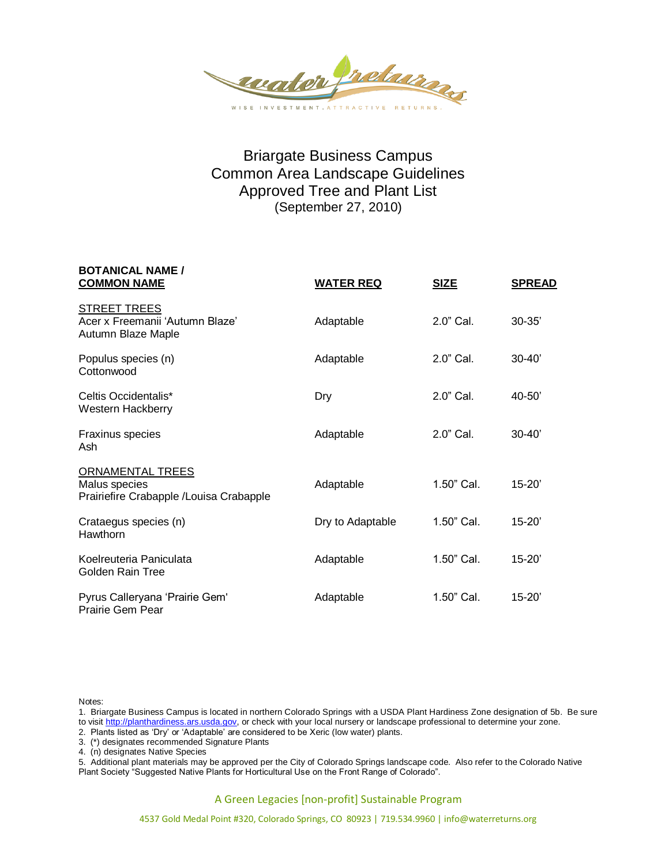

## Briargate Business Campus Common Area Landscape Guidelines Approved Tree and Plant List (September 27, 2010)

| <b>BOTANICAL NAME /</b><br><b>COMMON NAME</b>                                       | <b>WATER REQ</b> | <b>SIZE</b>  | <b>SPREAD</b> |
|-------------------------------------------------------------------------------------|------------------|--------------|---------------|
| <b>STREET TREES</b><br>Acer x Freemanii 'Autumn Blaze'<br>Autumn Blaze Maple        | Adaptable        | $2.0$ " Cal. | $30 - 35'$    |
| Populus species (n)<br>Cottonwood                                                   | Adaptable        | $2.0"$ Cal.  | $30 - 40'$    |
| Celtis Occidentalis*<br><b>Western Hackberry</b>                                    | Dry              | 2.0" Cal.    | $40 - 50'$    |
| Fraxinus species<br>Ash                                                             | Adaptable        | $2.0$ " Cal. | $30 - 40'$    |
| <b>ORNAMENTAL TREES</b><br>Malus species<br>Prairiefire Crabapple /Louisa Crabapple | Adaptable        | 1.50" Cal.   | $15 - 20'$    |
| Crataegus species (n)<br>Hawthorn                                                   | Dry to Adaptable | 1.50" Cal.   | $15 - 20'$    |
| Koelreuteria Paniculata<br>Golden Rain Tree                                         | Adaptable        | 1.50" Cal.   | $15 - 20'$    |
| Pyrus Calleryana 'Prairie Gem'<br>Prairie Gem Pear                                  | Adaptable        | 1.50" Cal.   | $15 - 20'$    |

Notes:

1. Briargate Business Campus is located in northern Colorado Springs with a USDA Plant Hardiness Zone designation of 5b. Be sure to visit http://planthardiness.ars.usda.gov, or check with your local nursery or landscape professional to determine your zone.

2. Plants listed as 'Dry' or 'Adaptable' are considered to be Xeric (low water) plants.

3. (\*) designates recommended Signature Plants

4. (n) designates Native Species

5. Additional plant materials may be approved per the City of Colorado Springs landscape code. Also refer to the Colorado Native Plant Society "Suggested Native Plants for Horticultural Use on the Front Range of Colorado".

A Green Legacies [non-profit] Sustainable Program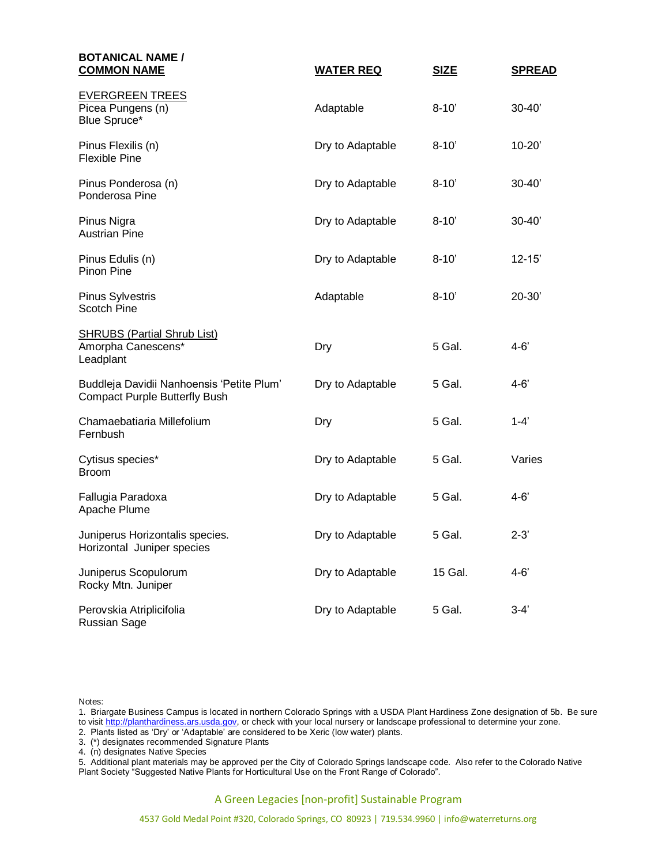| <b>BOTANICAL NAME /</b><br><b>COMMON NAME</b>                                     | <b>WATER REQ</b> | <b>SIZE</b> | <b>SPREAD</b> |
|-----------------------------------------------------------------------------------|------------------|-------------|---------------|
| <b>EVERGREEN TREES</b><br>Picea Pungens (n)<br>Blue Spruce*                       | Adaptable        | $8 - 10'$   | $30 - 40'$    |
| Pinus Flexilis (n)<br><b>Flexible Pine</b>                                        | Dry to Adaptable | $8 - 10'$   | $10 - 20'$    |
| Pinus Ponderosa (n)<br>Ponderosa Pine                                             | Dry to Adaptable | $8 - 10'$   | $30 - 40'$    |
| Pinus Nigra<br><b>Austrian Pine</b>                                               | Dry to Adaptable | $8 - 10'$   | $30 - 40'$    |
| Pinus Edulis (n)<br>Pinon Pine                                                    | Dry to Adaptable | $8 - 10'$   | $12 - 15'$    |
| <b>Pinus Sylvestris</b><br>Scotch Pine                                            | Adaptable        | $8 - 10'$   | 20-30'        |
| <b>SHRUBS (Partial Shrub List)</b><br>Amorpha Canescens*<br>Leadplant             | Dry              | 5 Gal.      | $4 - 6'$      |
| Buddleja Davidii Nanhoensis 'Petite Plum'<br><b>Compact Purple Butterfly Bush</b> | Dry to Adaptable | 5 Gal.      | $4 - 6'$      |
| Chamaebatiaria Millefolium<br>Fernbush                                            | Dry              | 5 Gal.      | $1 - 4'$      |
| Cytisus species*<br><b>Broom</b>                                                  | Dry to Adaptable | 5 Gal.      | Varies        |
| Fallugia Paradoxa<br>Apache Plume                                                 | Dry to Adaptable | 5 Gal.      | $4 - 6'$      |
| Juniperus Horizontalis species.<br>Horizontal Juniper species                     | Dry to Adaptable | 5 Gal.      | $2 - 3'$      |
| Juniperus Scopulorum<br>Rocky Mtn. Juniper                                        | Dry to Adaptable | 15 Gal.     | $4 - 6'$      |
| Perovskia Atriplicifolia<br><b>Russian Sage</b>                                   | Dry to Adaptable | 5 Gal.      | $3-4'$        |

Notes:

1. Briargate Business Campus is located in northern Colorado Springs with a USDA Plant Hardiness Zone designation of 5b. Be sure to visit <u>http://planthardiness.ars.usda.gov</u>, or check with your local nursery or landscape professional to determine your zone.

2. Plants listed as 'Dry' or 'Adaptable' are considered to be Xeric (low water) plants.

3. (\*) designates recommended Signature Plants

4. (n) designates Native Species

5. Additional plant materials may be approved per the City of Colorado Springs landscape code. Also refer to the Colorado Native Plant Society "Suggested Native Plants for Horticultural Use on the Front Range of Colorado".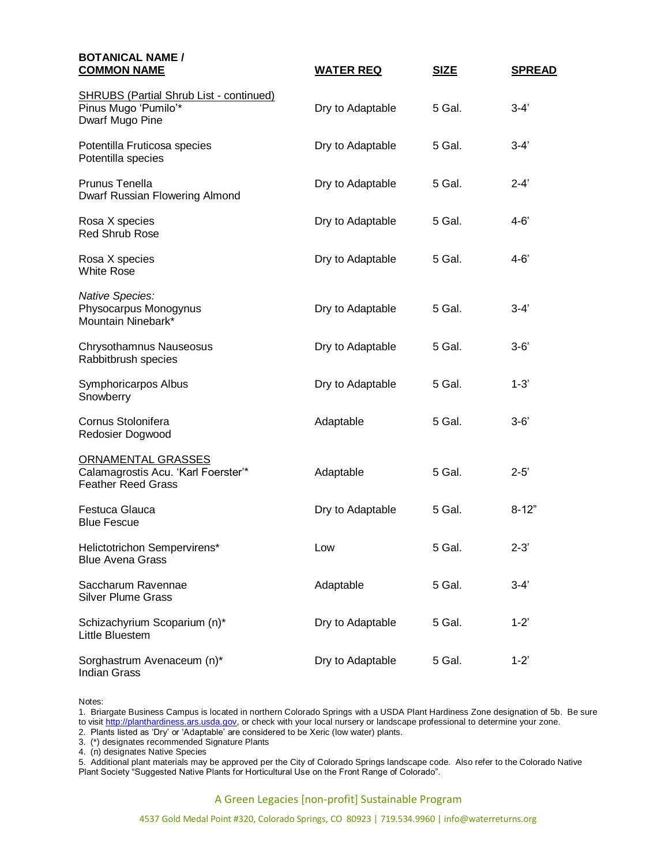| <b>BOTANICAL NAME /</b><br><b>COMMON NAME</b>                                             | <u>WATER REQ</u> | <b>SIZE</b> | <b>SPREAD</b> |
|-------------------------------------------------------------------------------------------|------------------|-------------|---------------|
| <b>SHRUBS (Partial Shrub List - continued)</b><br>Pinus Mugo 'Pumilo'*<br>Dwarf Mugo Pine | Dry to Adaptable | 5 Gal.      | $3-4'$        |
| Potentilla Fruticosa species<br>Potentilla species                                        | Dry to Adaptable | 5 Gal.      | $3 - 4'$      |
| Prunus Tenella<br>Dwarf Russian Flowering Almond                                          | Dry to Adaptable | 5 Gal.      | $2 - 4'$      |
| Rosa X species<br><b>Red Shrub Rose</b>                                                   | Dry to Adaptable | 5 Gal.      | $4 - 6'$      |
| Rosa X species<br><b>White Rose</b>                                                       | Dry to Adaptable | 5 Gal.      | 4-6'          |
| <b>Native Species:</b><br>Physocarpus Monogynus<br>Mountain Ninebark*                     | Dry to Adaptable | 5 Gal.      | $3 - 4'$      |
| Chrysothamnus Nauseosus<br>Rabbitbrush species                                            | Dry to Adaptable | 5 Gal.      | $3 - 6'$      |
| Symphoricarpos Albus<br>Snowberry                                                         | Dry to Adaptable | 5 Gal.      | $1 - 3'$      |
| Cornus Stolonifera<br>Redosier Dogwood                                                    | Adaptable        | 5 Gal.      | $3 - 6'$      |
| ORNAMENTAL GRASSES<br>Calamagrostis Acu. 'Karl Foerster'*<br><b>Feather Reed Grass</b>    | Adaptable        | 5 Gal.      | $2 - 5'$      |
| Festuca Glauca<br><b>Blue Fescue</b>                                                      | Dry to Adaptable | 5 Gal.      | $8 - 12"$     |
| Helictotrichon Sempervirens*<br><b>Blue Avena Grass</b>                                   | Low              | 5 Gal.      | $2 - 3'$      |
| Saccharum Ravennae<br><b>Silver Plume Grass</b>                                           | Adaptable        | 5 Gal.      | $3-4'$        |
| Schizachyrium Scoparium (n)*<br>Little Bluestem                                           | Dry to Adaptable | 5 Gal.      | $1 - 2'$      |
| Sorghastrum Avenaceum (n)*<br><b>Indian Grass</b>                                         | Dry to Adaptable | 5 Gal.      | $1 - 2'$      |

Notes:

1. Briargate Business Campus is located in northern Colorado Springs with a USDA Plant Hardiness Zone designation of 5b. Be sure to visit <u>http://planthardiness.ars.usda.gov</u>, or check with your local nursery or landscape professional to determine your zone.

2. Plants listed as 'Dry' or 'Adaptable' are considered to be Xeric (low water) plants.

3. (\*) designates recommended Signature Plants

4. (n) designates Native Species

5. Additional plant materials may be approved per the City of Colorado Springs landscape code. Also refer to the Colorado Native Plant Society "Suggested Native Plants for Horticultural Use on the Front Range of Colorado".